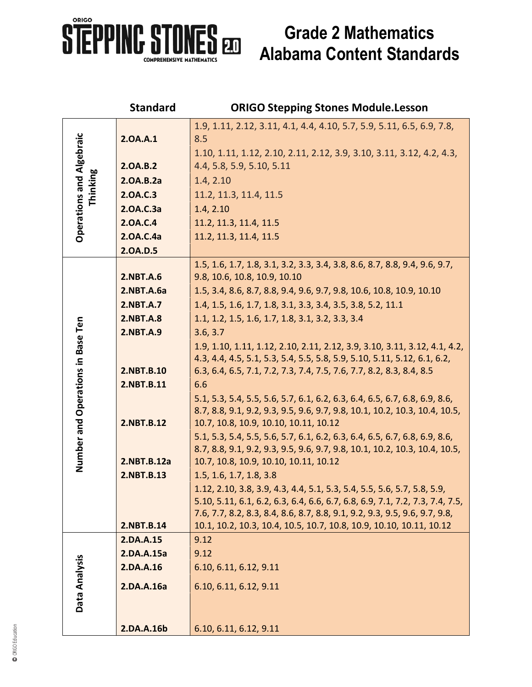

## **Grade 2 Mathematics Alabama Content Standards**

|                                             | <b>Standard</b>  | <b>ORIGO Stepping Stones Module.Lesson</b>                                                                                                              |
|---------------------------------------------|------------------|---------------------------------------------------------------------------------------------------------------------------------------------------------|
| <b>Operations and Algebraic</b><br>Thinking | 2.0A.A.1         | 1.9, 1.11, 2.12, 3.11, 4.1, 4.4, 4.10, 5.7, 5.9, 5.11, 6.5, 6.9, 7.8,<br>8.5                                                                            |
|                                             | 2.0A.B.2         | 1.10, 1.11, 1.12, 2.10, 2.11, 2.12, 3.9, 3.10, 3.11, 3.12, 4.2, 4.3,<br>4.4, 5.8, 5.9, 5.10, 5.11                                                       |
|                                             | 2.0A.B.2a        | 1.4, 2.10                                                                                                                                               |
|                                             | 2.0A.C.3         | 11.2, 11.3, 11.4, 11.5                                                                                                                                  |
|                                             | 2.0A.C.3a        | 1.4, 2.10                                                                                                                                               |
|                                             | 2.0A.C.4         | 11.2, 11.3, 11.4, 11.5                                                                                                                                  |
|                                             | 2.0A.C.4a        | 11.2, 11.3, 11.4, 11.5                                                                                                                                  |
|                                             | 2.0A.D.5         |                                                                                                                                                         |
| Number and Operations in Base Ten           |                  | 1.5, 1.6, 1.7, 1.8, 3.1, 3.2, 3.3, 3.4, 3.8, 8.6, 8.7, 8.8, 9.4, 9.6, 9.7,                                                                              |
|                                             | 2.NBT.A.6        | 9.8, 10.6, 10.8, 10.9, 10.10                                                                                                                            |
|                                             | 2.NBT.A.6a       | 1.5, 3.4, 8.6, 8.7, 8.8, 9.4, 9.6, 9.7, 9.8, 10.6, 10.8, 10.9, 10.10                                                                                    |
|                                             | 2.NBT.A.7        | 1.4, 1.5, 1.6, 1.7, 1.8, 3.1, 3.3, 3.4, 3.5, 3.8, 5.2, 11.1                                                                                             |
|                                             | <b>2.NBT.A.8</b> | 1.1, 1.2, 1.5, 1.6, 1.7, 1.8, 3.1, 3.2, 3.3, 3.4                                                                                                        |
|                                             | <b>2.NBT.A.9</b> | 3.6, 3.7                                                                                                                                                |
|                                             |                  | 1.9, 1.10, 1.11, 1.12, 2.10, 2.11, 2.12, 3.9, 3.10, 3.11, 3.12, 4.1, 4.2,                                                                               |
|                                             | 2.NBT.B.10       | 4.3, 4.4, 4.5, 5.1, 5.3, 5.4, 5.5, 5.8, 5.9, 5.10, 5.11, 5.12, 6.1, 6.2,<br>6.3, 6.4, 6.5, 7.1, 7.2, 7.3, 7.4, 7.5, 7.6, 7.7, 8.2, 8.3, 8.4, 8.5        |
|                                             | 2.NBT.B.11       | 6.6                                                                                                                                                     |
|                                             |                  | 5.1, 5.3, 5.4, 5.5, 5.6, 5.7, 6.1, 6.2, 6.3, 6.4, 6.5, 6.7, 6.8, 6.9, 8.6,                                                                              |
|                                             |                  | 8.7, 8.8, 9.1, 9.2, 9.3, 9.5, 9.6, 9.7, 9.8, 10.1, 10.2, 10.3, 10.4, 10.5,                                                                              |
|                                             | 2.NBT.B.12       | 10.7, 10.8, 10.9, 10.10, 10.11, 10.12                                                                                                                   |
|                                             |                  | 5.1, 5.3, 5.4, 5.5, 5.6, 5.7, 6.1, 6.2, 6.3, 6.4, 6.5, 6.7, 6.8, 6.9, 8.6,                                                                              |
|                                             |                  | 8.7, 8.8, 9.1, 9.2, 9.3, 9.5, 9.6, 9.7, 9.8, 10.1, 10.2, 10.3, 10.4, 10.5,                                                                              |
|                                             | 2.NBT.B.12a      | 10.7, 10.8, 10.9, 10.10, 10.11, 10.12                                                                                                                   |
|                                             | 2.NBT.B.13       | 1.5, 1.6, 1.7, 1.8, 3.8                                                                                                                                 |
|                                             |                  | 1.12, 2.10, 3.8, 3.9, 4.3, 4.4, 5.1, 5.3, 5.4, 5.5, 5.6, 5.7, 5.8, 5.9,<br>5.10, 5.11, 6.1, 6.2, 6.3, 6.4, 6.6, 6.7, 6.8, 6.9, 7.1, 7.2, 7.3, 7.4, 7.5, |
|                                             |                  | 7.6, 7.7, 8.2, 8.3, 8.4, 8.6, 8.7, 8.8, 9.1, 9.2, 9.3, 9.5, 9.6, 9.7, 9.8,                                                                              |
|                                             | 2.NBT.B.14       | 10.1, 10.2, 10.3, 10.4, 10.5, 10.7, 10.8, 10.9, 10.10, 10.11, 10.12                                                                                     |
| Data Analysis                               | 2.DA.A.15        | 9.12                                                                                                                                                    |
|                                             | 2.DA.A.15a       | 9.12                                                                                                                                                    |
|                                             | 2.DA.A.16        | 6.10, 6.11, 6.12, 9.11                                                                                                                                  |
|                                             | 2.DA.A.16a       | 6.10, 6.11, 6.12, 9.11                                                                                                                                  |
|                                             |                  |                                                                                                                                                         |
|                                             |                  |                                                                                                                                                         |
|                                             | 2.DA.A.16b       | 6.10, 6.11, 6.12, 9.11                                                                                                                                  |